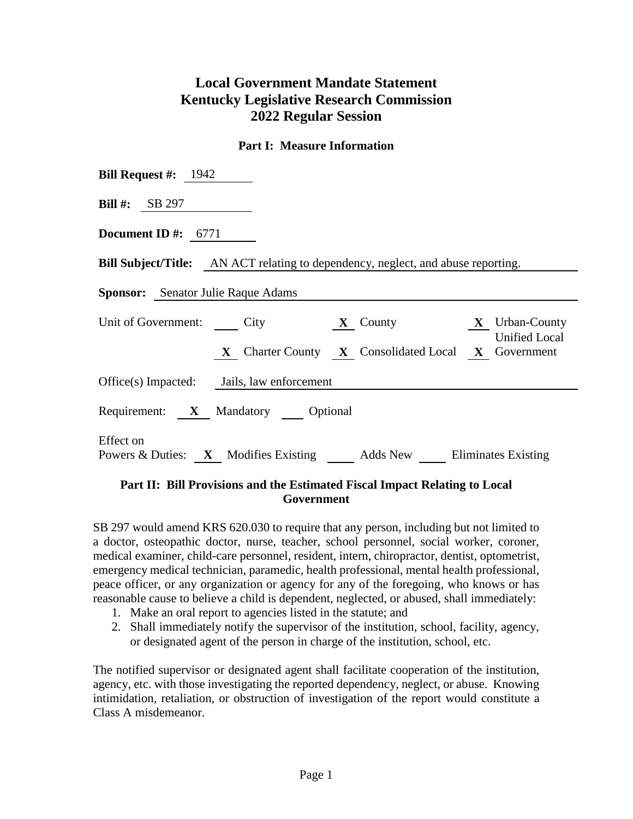## **Local Government Mandate Statement Kentucky Legislative Research Commission 2022 Regular Session**

## **Part I: Measure Information**

| <b>Bill Request #:</b> $1942$                                                                                                                          |  |  |  |  |  |  |
|--------------------------------------------------------------------------------------------------------------------------------------------------------|--|--|--|--|--|--|
| <b>Bill #:</b> SB 297                                                                                                                                  |  |  |  |  |  |  |
| Document ID #: $6771$                                                                                                                                  |  |  |  |  |  |  |
| <b>Bill Subject/Title:</b> AN ACT relating to dependency, neglect, and abuse reporting.                                                                |  |  |  |  |  |  |
| <b>Sponsor:</b> Senator Julie Raque Adams                                                                                                              |  |  |  |  |  |  |
| Unit of Government: City<br><b>X</b> Urban-County<br>$\mathbf{X}$ County<br><b>Unified Local</b><br>X Charter County X Consolidated Local X Government |  |  |  |  |  |  |
| Office(s) Impacted: Jails, law enforcement                                                                                                             |  |  |  |  |  |  |
| Requirement: X Mandatory Optional                                                                                                                      |  |  |  |  |  |  |
| Effect on<br>Powers & Duties: X Modifies Existing Adds New Eliminates Existing                                                                         |  |  |  |  |  |  |

## **Part II: Bill Provisions and the Estimated Fiscal Impact Relating to Local Government**

SB 297 would amend KRS 620.030 to require that any person, including but not limited to a doctor, osteopathic doctor, nurse, teacher, school personnel, social worker, coroner, medical examiner, child-care personnel, resident, intern, chiropractor, dentist, optometrist, emergency medical technician, paramedic, health professional, mental health professional, peace officer, or any organization or agency for any of the foregoing, who knows or has reasonable cause to believe a child is dependent, neglected, or abused, shall immediately:

- 1. Make an oral report to agencies listed in the statute; and
- 2. Shall immediately notify the supervisor of the institution, school, facility, agency, or designated agent of the person in charge of the institution, school, etc.

The notified supervisor or designated agent shall facilitate cooperation of the institution, agency, etc. with those investigating the reported dependency, neglect, or abuse. Knowing intimidation, retaliation, or obstruction of investigation of the report would constitute a Class A misdemeanor.